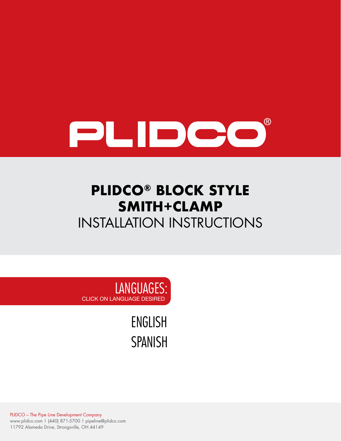

# **PLIDCO® BLOCK STYLE SMITH+CLAMP**  INSTALLATION INSTRUCTIONS

LANGUAGES: CLICK ON LANGUAGE DESIRED

> [ENGLISH](#page-1-0) [SPANISH](#page-4-0)

PLIDCO – The Pipe Line Development Company www.plidco.com | (440) 871-5700 | pipeline@plidco.com 11792 Alameda Drive, Strongsville, OH 44149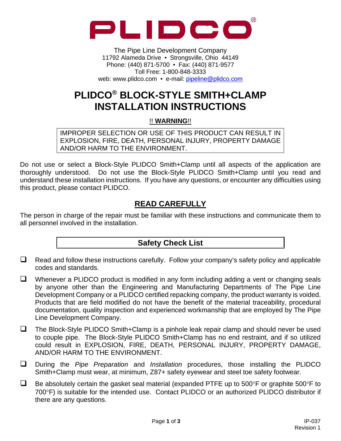<span id="page-1-0"></span>

The Pipe Line Development Company 11792 Alameda Drive • Strongsville, Ohio 44149 Phone: (440) 871-5700 • Fax: (440) 871-9577 Toll Free: 1-800-848-3333 web: www.plidco.com • e-mail: pipeline@plidco.com

# **PLIDCO® BLOCK-STYLE SMITH+CLAMP INSTALLATION INSTRUCTIONS**

!! **WARNING**!!

IMPROPER SELECTION OR USE OF THIS PRODUCT CAN RESULT IN EXPLOSION, FIRE, DEATH, PERSONAL INJURY, PROPERTY DAMAGE AND/OR HARM TO THE ENVIRONMENT.

Do not use or select a Block-Style PLIDCO Smith+Clamp until all aspects of the application are thoroughly understood. Do not use the Block-Style PLIDCO Smith+Clamp until you read and understand these installation instructions. If you have any questions, or encounter any difficulties using this product, please contact PLIDCO.

# **READ CAREFULLY**

The person in charge of the repair must be familiar with these instructions and communicate them to all personnel involved in the installation.

# **Safety Check List**

 $\Box$  Read and follow these instructions carefully. Follow your company's safety policy and applicable codes and standards.

 $\Box$  Whenever a PLIDCO product is modified in any form including adding a vent or changing seals by anyone other than the Engineering and Manufacturing Departments of The Pipe Line Development Company or a PLIDCO certified repacking company, the product warranty is voided. Products that are field modified do not have the benefit of the material traceability, procedural documentation, quality inspection and experienced workmanship that are employed by The Pipe Line Development Company.

- □ The Block-Style PLIDCO Smith+Clamp is a pinhole leak repair clamp and should never be used to couple pipe. The Block-Style PLIDCO Smith+Clamp has no end restraint, and if so utilized could result in EXPLOSION, FIRE, DEATH, PERSONAL INJURY, PROPERTY DAMAGE, AND/OR HARM TO THE ENVIRONMENT.
- During the *Pipe Preparation* and *Installation* procedures, those installing the PLIDCO Smith+Clamp must wear, at minimum, Z87+ safety eyewear and steel toe safety footwear.
- $\Box$  Be absolutely certain the gasket seal material (expanded PTFE up to 500°F or graphite 500°F to 700°F) is suitable for the intended use. Contact PLIDCO or an authorized PLIDCO distributor if there are any questions.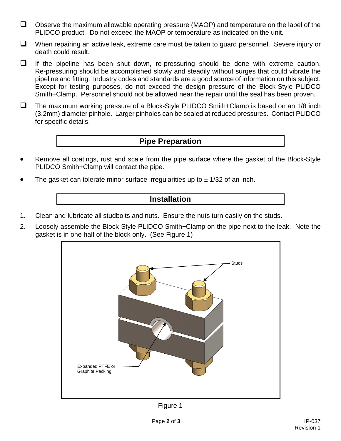- $\Box$  Observe the maximum allowable operating pressure (MAOP) and temperature on the label of the PLIDCO product. Do not exceed the MAOP or temperature as indicated on the unit.
- $\Box$  When repairing an active leak, extreme care must be taken to quard personnel. Severe injury or death could result.
- $\Box$  If the pipeline has been shut down, re-pressuring should be done with extreme caution. Re-pressuring should be accomplished slowly and steadily without surges that could vibrate the pipeline and fitting. Industry codes and standards are a good source of information on this subject. Except for testing purposes, do not exceed the design pressure of the Block-Style PLIDCO Smith+Clamp. Personnel should not be allowed near the repair until the seal has been proven.
- $\Box$  The maximum working pressure of a Block-Style PLIDCO Smith+Clamp is based on an 1/8 inch (3.2mm) diameter pinhole. Larger pinholes can be sealed at reduced pressures. Contact PLIDCO for specific details.

#### **Pipe Preparation**

- Remove all coatings, rust and scale from the pipe surface where the gasket of the Block-Style PLIDCO Smith+Clamp will contact the pipe.
- The gasket can tolerate minor surface irregularities up to  $\pm$  1/32 of an inch.

#### **Installation**

- 1. Clean and lubricate all studbolts and nuts. Ensure the nuts turn easily on the studs.
- 2. Loosely assemble the Block-Style PLIDCO Smith+Clamp on the pipe next to the leak. Note the gasket is in one half of the block only. (See Figure 1)



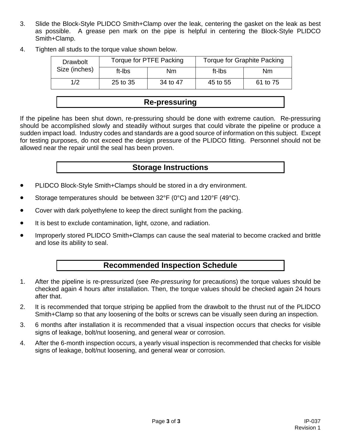- 3. Slide the Block-Style PLIDCO Smith+Clamp over the leak, centering the gasket on the leak as best as possible. A grease pen mark on the pipe is helpful in centering the Block-Style PLIDCO Smith+Clamp.
- 4. Tighten all studs to the torque value shown below.

| <b>Drawbolt</b><br>Size (inches) | Torque for PTFE Packing |          | Torque for Graphite Packing |          |
|----------------------------------|-------------------------|----------|-----------------------------|----------|
|                                  | ft-Ibs                  | Nm       | ft-Ibs                      | Nm       |
| 1/2                              | 25 to 35                | 34 to 47 | 45 to 55                    | 61 to 75 |

#### **Re-pressuring**

If the pipeline has been shut down, re-pressuring should be done with extreme caution. Re-pressuring should be accomplished slowly and steadily without surges that could vibrate the pipeline or produce a sudden impact load. Industry codes and standards are a good source of information on this subject. Except for testing purposes, do not exceed the design pressure of the PLIDCO fitting. Personnel should not be allowed near the repair until the seal has been proven.

#### **Storage Instructions**

- PLIDCO Block-Style Smith+Clamps should be stored in a dry environment.
- Storage temperatures should be between 32°F (0°C) and 120°F (49°C).
- Cover with dark polyethylene to keep the direct sunlight from the packing.
- It is best to exclude contamination, light, ozone, and radiation.
- Improperly stored PLIDCO Smith+Clamps can cause the seal material to become cracked and brittle and lose its ability to seal.

# **Recommended Inspection Schedule**

- 1. After the pipeline is re-pressurized (see *Re-pressuring* for precautions) the torque values should be checked again 4 hours after installation. Then, the torque values should be checked again 24 hours after that.
- 2. It is recommended that torque striping be applied from the drawbolt to the thrust nut of the PLIDCO Smith+Clamp so that any loosening of the bolts or screws can be visually seen during an inspection.
- 3. 6 months after installation it is recommended that a visual inspection occurs that checks for visible signs of leakage, bolt/nut loosening, and general wear or corrosion.
- 4. After the 6-month inspection occurs, a yearly visual inspection is recommended that checks for visible signs of leakage, bolt/nut loosening, and general wear or corrosion.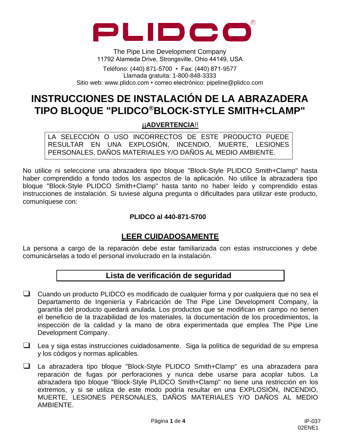<span id="page-4-0"></span>

The Pipe Line Development Company 11792 Alameda Drive, Strongsville, Ohio 44149, USA

Teléfono: (440) 871-5700 • Fax: (440) 871-9577 Llamada gratuita: 1-800-848-3333 Sitio web: [www.plidco.com](http://www.plidco.com/) • correo electrónico: [pipeline@plidco.com](mailto:pipeline@plidco.com)

# **INSTRUCCIONES DE INSTALACIÓN DE LA ABRAZADERA TIPO BLOQUE "PLIDCO®BLOCK-STYLE SMITH+CLAMP"**

#### **¡¡ADVERTENCIA**!!

LA SELECCIÓN O USO INCORRECTOS DE ESTE PRODUCTO PUEDE RESULTAR EN UNA EXPLOSIÓN, INCENDIO, MUERTE, LESIONES PERSONALES, DAÑOS MATERIALES Y/O DAÑOS AL MEDIO AMBIENTE.

No utilice ni seleccione una abrazadera tipo bloque "Block-Style PLIDCO Smith+Clamp" hasta haber comprendido a fondo todos los aspectos de la aplicación. No utilice la abrazadera tipo bloque "Block-Style PLIDCO Smith+Clamp" hasta tanto no haber leído y comprendido estas instrucciones de instalación. Si tuviese alguna pregunta o dificultades para utilizar este producto, comuníquese con:

#### **PLIDCO al 440-871-5700**

# **LEER CUIDADOSAMENTE**

La persona a cargo de la reparación debe estar familiarizada con estas instrucciones y debe comunicárselas a todo el personal involucrado en la instalación.

#### **Lista de verificación de seguridad**

- ❑ Cuando un producto PLIDCO es modificado de cualquier forma y por cualquiera que no sea el Departamento de Ingeniería y Fabricación de The Pipe Line Development Company, la garantía del producto quedará anulada. Los productos que se modifican en campo no tienen el beneficio de la trazabilidad de los materiales, la documentación de los procedimientos, la inspección de la calidad y la mano de obra experimentada que emplea The Pipe Line Development Company.
- ❑ Lea y siga estas instrucciones cuidadosamente. Siga la política de seguridad de su empresa y los códigos y normas aplicables.
- ❑ La abrazadera tipo bloque "Block-Style PLIDCO Smith+Clamp" es una abrazadera para reparación de fugas por perforaciones y nunca debe usarse para acoplar tubos. La abrazadera tipo bloque "Block-Style PLIDCO Smith+Clamp" no tiene una restricción en los extremos, y si se utiliza de este modo podría resultar en una EXPLOSIÓN, INCENDIO, MUERTE, LESIONES PERSONALES, DAÑOS MATERIALES Y/O DAÑOS AL MEDIO AMBIENTE.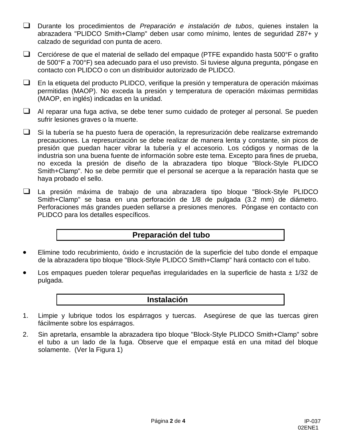- ❑ Durante los procedimientos de *Preparación e instalación de tubos*, quienes instalen la abrazadera "PLIDCO Smith+Clamp" deben usar como mínimo, lentes de seguridad Z87+ y calzado de seguridad con punta de acero.
- ❑ Cerciórese de que el material de sellado del empaque (PTFE expandido hasta 500°F o grafito de 500°F a 700°F) sea adecuado para el uso previsto. Si tuviese alguna pregunta, póngase en contacto con PLIDCO o con un distribuidor autorizado de PLIDCO.
- ❑ En la etiqueta del producto PLIDCO, verifique la presión y temperatura de operación máximas permitidas (MAOP). No exceda la presión y temperatura de operación máximas permitidas (MAOP, en inglés) indicadas en la unidad.
- ❑ Al reparar una fuga activa, se debe tener sumo cuidado de proteger al personal. Se pueden sufrir lesiones graves o la muerte.
- ❑ Si la tubería se ha puesto fuera de operación, la represurización debe realizarse extremando precauciones. La represurización se debe realizar de manera lenta y constante, sin picos de presión que puedan hacer vibrar la tubería y el accesorio. Los códigos y normas de la industria son una buena fuente de información sobre este tema. Excepto para fines de prueba, no exceda la presión de diseño de la abrazadera tipo bloque "Block-Style PLIDCO Smith+Clamp". No se debe permitir que el personal se acerque a la reparación hasta que se haya probado el sello.
- ❑ La presión máxima de trabajo de una abrazadera tipo bloque "Block-Style PLIDCO Smith+Clamp" se basa en una perforación de 1/8 de pulgada (3.2 mm) de diámetro. Perforaciones más grandes pueden sellarse a presiones menores. Póngase en contacto con PLIDCO para los detalles específicos.

# **Preparación del tubo**

- Elimine todo recubrimiento, óxido e incrustación de la superficie del tubo donde el empaque de la abrazadera tipo bloque "Block-Style PLIDCO Smith+Clamp" hará contacto con el tubo.
- Los empaques pueden tolerar pequeñas irregularidades en la superficie de hasta  $\pm$  1/32 de pulgada.

#### **Instalación**

- 1. Limpie y lubrique todos los espárragos y tuercas. Asegúrese de que las tuercas giren fácilmente sobre los espárragos.
- 2. Sin apretarla, ensamble la abrazadera tipo bloque "Block-Style PLIDCO Smith+Clamp" sobre el tubo a un lado de la fuga. Observe que el empaque está en una mitad del bloque solamente. (Ver la Figura 1)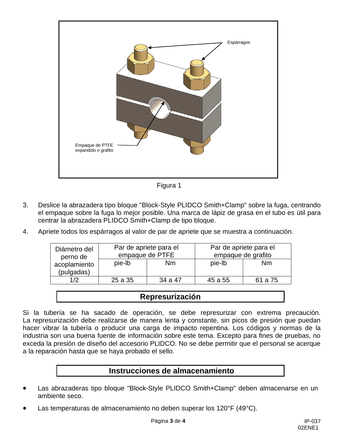

Figura 1

- 3. Deslice la abrazadera tipo bloque "Block-Style PLIDCO Smith+Clamp" sobre la fuga, centrando el empaque sobre la fuga lo mejor posible. Una marca de lápiz de grasa en el tubo es útil para centrar la abrazadera PLIDCO Smith+Clamp de tipo bloque.
- 4. Apriete todos los espárragos al valor de par de apriete que se muestra a continuación.

| Diámetro del<br>perno de | Par de apriete para el<br>empaque de PTFE |         | Par de apriete para el<br>empaque de grafito |         |
|--------------------------|-------------------------------------------|---------|----------------------------------------------|---------|
| acoplamiento             | pie-lb                                    | Nm      | pie-lb                                       | Nm      |
| (pulgadas)               |                                           |         |                                              |         |
| 1/2                      | 25 a 35                                   | 34 a 47 | 45 a 55                                      | 61 a 75 |

# **Represurización**

Si la tubería se ha sacado de operación, se debe represurizar con extrema precaución. La represurización debe realizarse de manera lenta y constante, sin picos de presión que puedan hacer vibrar la tubería o producir una carga de impacto repentina. Los códigos y normas de la industria son una buena fuente de información sobre este tema. Excepto para fines de pruebas, no exceda la presión de diseño del accesorio PLIDCO. No se debe permitir que el personal se acerque a la reparación hasta que se haya probado el sello.

# **Instrucciones de almacenamiento**

- Las abrazaderas tipo bloque "Block-Style PLIDCO Smith+Clamp" deben almacenarse en un ambiente seco.
- Las temperaturas de almacenamiento no deben superar los 120°F (49°C).